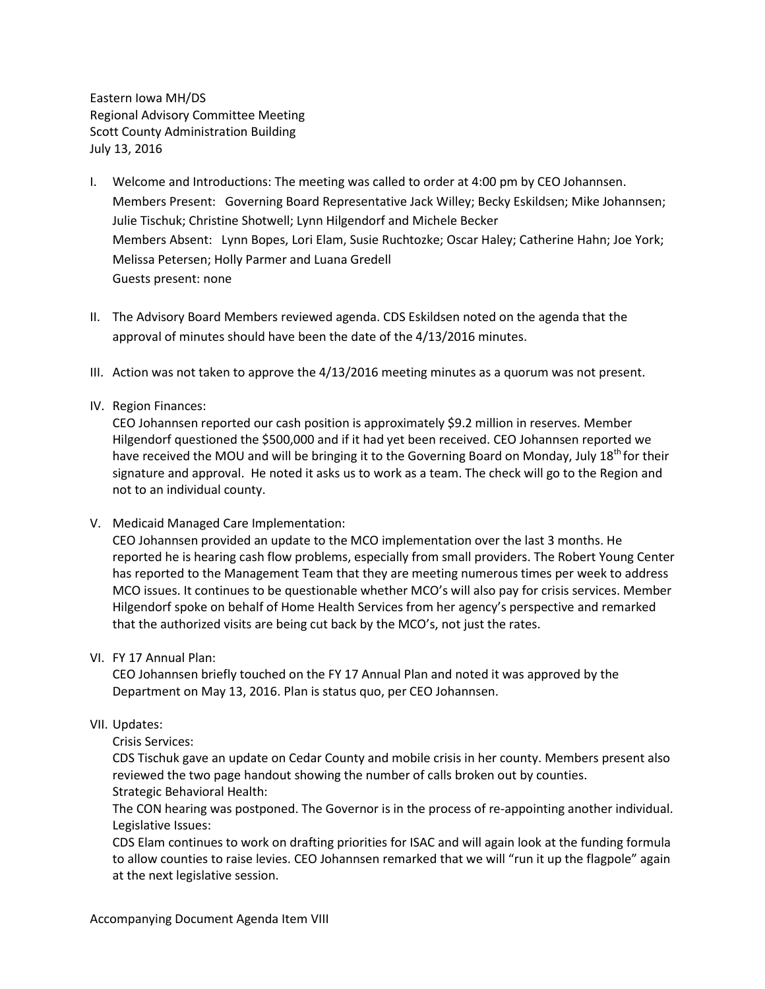Eastern Iowa MH/DS Regional Advisory Committee Meeting Scott County Administration Building July 13, 2016

- I. Welcome and Introductions: The meeting was called to order at 4:00 pm by CEO Johannsen. Members Present: Governing Board Representative Jack Willey; Becky Eskildsen; Mike Johannsen; Julie Tischuk; Christine Shotwell; Lynn Hilgendorf and Michele Becker Members Absent: Lynn Bopes, Lori Elam, Susie Ruchtozke; Oscar Haley; Catherine Hahn; Joe York; Melissa Petersen; Holly Parmer and Luana Gredell Guests present: none
- II. The Advisory Board Members reviewed agenda. CDS Eskildsen noted on the agenda that the approval of minutes should have been the date of the 4/13/2016 minutes.
- III. Action was not taken to approve the 4/13/2016 meeting minutes as a quorum was not present.

# IV. Region Finances:

CEO Johannsen reported our cash position is approximately \$9.2 million in reserves. Member Hilgendorf questioned the \$500,000 and if it had yet been received. CEO Johannsen reported we have received the MOU and will be bringing it to the Governing Board on Monday, July 18<sup>th</sup> for their signature and approval. He noted it asks us to work as a team. The check will go to the Region and not to an individual county.

V. Medicaid Managed Care Implementation:

CEO Johannsen provided an update to the MCO implementation over the last 3 months. He reported he is hearing cash flow problems, especially from small providers. The Robert Young Center has reported to the Management Team that they are meeting numerous times per week to address MCO issues. It continues to be questionable whether MCO's will also pay for crisis services. Member Hilgendorf spoke on behalf of Home Health Services from her agency's perspective and remarked that the authorized visits are being cut back by the MCO's, not just the rates.

VI. FY 17 Annual Plan:

CEO Johannsen briefly touched on the FY 17 Annual Plan and noted it was approved by the Department on May 13, 2016. Plan is status quo, per CEO Johannsen.

# VII. Updates:

Crisis Services:

CDS Tischuk gave an update on Cedar County and mobile crisis in her county. Members present also reviewed the two page handout showing the number of calls broken out by counties. Strategic Behavioral Health:

The CON hearing was postponed. The Governor is in the process of re-appointing another individual. Legislative Issues:

CDS Elam continues to work on drafting priorities for ISAC and will again look at the funding formula to allow counties to raise levies. CEO Johannsen remarked that we will "run it up the flagpole" again at the next legislative session.